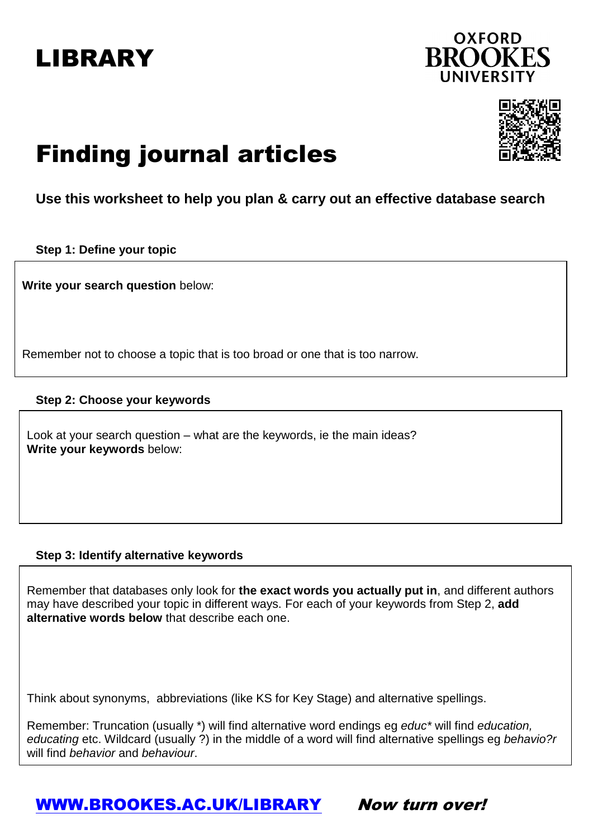## LIBRARY





# Finding journal articles

### **Use this worksheet to help you plan & carry out an effective database search**

**Step 1: Define your topic**

**Write your search question** below:

Remember not to choose a topic that is too broad or one that is too narrow.

#### **Step 2: Choose your keywords**

Look at your search question – what are the keywords, ie the main ideas? **Write your keywords** below:

#### **Step 3: Identify alternative keywords**

Remember that databases only look for **the exact words you actually put in**, and different authors may have described your topic in different ways. For each of your keywords from Step 2, **add alternative words below** that describe each one.

Think about synonyms, abbreviations (like KS for Key Stage) and alternative spellings.

Remember: Truncation (usually \*) will find alternative word endings eg *educ\** will find *education, educating* etc. Wildcard (usually ?) in the middle of a word will find alternative spellings eg *behavio?r* will find *behavior* and *behaviour*.

### [WWW.BROOKES.AC.UK/LIBRARY](http://www.brookes.ac.uk/LIBRARY) Now turn over!